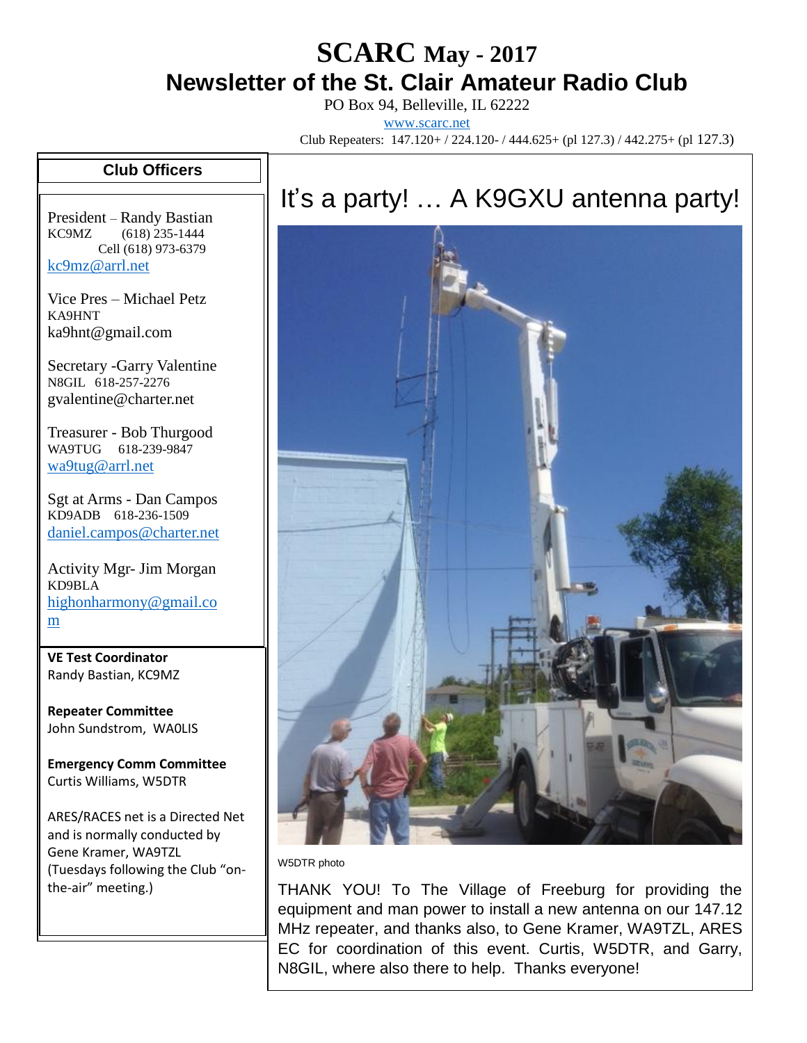## **SCARC May - <sup>2017</sup> Newsletter of the St. Clair Amateur Radio Club**

PO Box 94, Belleville, IL 62222 [www.scarc.net](http://www.scarc.net/)

Club Repeaters: 147.120+ / 224.120- / 444.625+ (pl 127.3) / 442.275+ (pl 127.3)

## **Club Officers**

President – Randy Bastian KC9MZ (618) 235-1444 Cell (618) 973-6379 [kc9mz@arrl.net](mailto:kc9mz@arrl.net)

Vice Pres – Michael Petz KA9HNT ka9hnt@gmail.com

Secretary -Garry Valentine N8GIL 618-257-2276 gvalentine@charter.net

Treasurer - Bob Thurgood WA9TUG 618-239-9847 [wa9tug@arrl.net](mailto:wa9tug@arrl.net)

Sgt at Arms - Dan Campos KD9ADB 618-236-1509 [daniel.campos@charter.net](mailto:daniel.campos@charter.net)

Activity Mgr- Jim Morgan KD9BLA [highonharmony@gmail.co](mailto:highonharmony@gmail.com) [m](mailto:highonharmony@gmail.com)

**VE Test Coordinator** Randy Bastian, KC9MZ

**Repeater Committee** John Sundstrom, WA0LIS

**Emergency Comm Committee** Curtis Williams, W5DTR

ARES/RACES net is a Directed Net and is normally conducted by Gene Kramer, WA9TZL (Tuesdays following the Club "onthe-air" meeting.)

## It's a party! … A K9GXU antenna party!



W5DTR photo

THANK YOU! To The Village of Freeburg for providing the equipment and man power to install a new antenna on our 147.12 MHz repeater, and thanks also, to Gene Kramer, WA9TZL, ARES EC for coordination of this event. Curtis, W5DTR, and Garry, N8GIL, where also there to help. Thanks everyone!